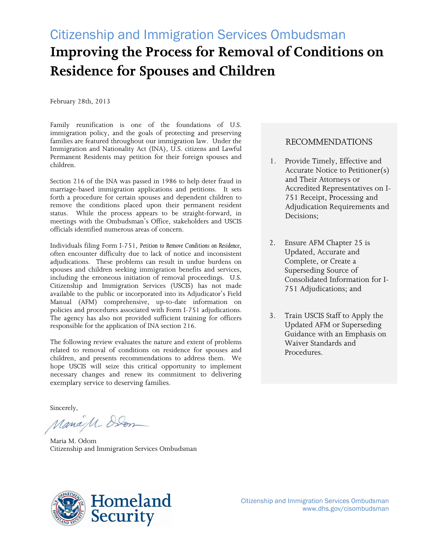# Citizenship and Immigration Services Ombudsman **Improving the Process for Removal of Conditions on Residence for Spouses and Children**

February 28th, 2013

Family reunification is one of the foundations of U.S. immigration policy, and the goals of protecting and preserving families are featured throughout our immigration law. Under the Immigration and Nationality Act (INA), U.S. citizens and Lawful Permanent Residents may petition for their foreign spouses and children.

Section 216 of the INA was passed in 1986 to help deter fraud in marriage-based immigration applications and petitions. It sets forth a procedure for certain spouses and dependent children to remove the conditions placed upon their permanent resident status. While the process appears to be straight-forward, in meetings with the Ombudsman's Office, stakeholders and USCIS officials identified numerous areas of concern.

Individuals filing Form I-751, *Petition to Remove Conditions on Residence*, often encounter difficulty due to lack of notice and inconsistent adjudications. These problems can result in undue burdens on spouses and children seeking immigration benefits and services, including the erroneous initiation of removal proceedings. U.S. Citizenship and Immigration Services (USCIS) has not made available to the public or incorporated into its Adjudicator's Field Manual (AFM) comprehensive, up-to-date information on policies and procedures associated with Form I-751 adjudications. The agency has also not provided sufficient training for officers responsible for the application of INA section 216.

The following review evaluates the nature and extent of problems related to removal of conditions on residence for spouses and children, and presents recommendations to address them. We hope USCIS will seize this critical opportunity to implement necessary changes and renew its commitment to delivering exemplary service to deserving families.

Sincerely,

ManaM- Alon

Maria M. Odom Citizenship and Immigration Services Ombudsman

# RECOMMENDATIONS

- 1. Provide Timely, Effective and Accurate Notice to Petitioner(s) and Their Attorneys or Accredited Representatives on I-751 Receipt, Processing and Adjudication Requirements and Decisions;
- 2. Ensure AFM Chapter 25 is Updated, Accurate and Complete, or Create a Superseding Source of Consolidated Information for I-751 Adjudications; and
- 3. Train USCIS Staff to Apply the Updated AFM or Superseding Guidance with an Emphasis on Waiver Standards and Procedures.

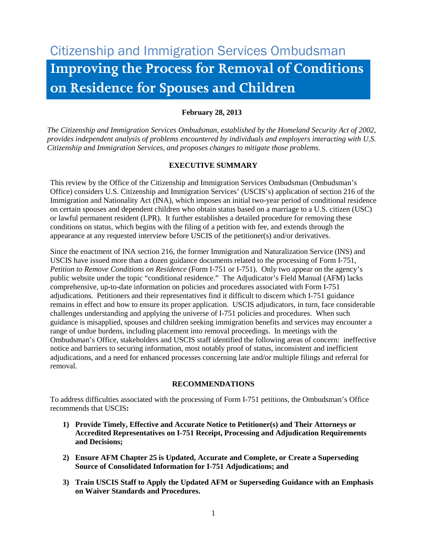# Citizenship and Immigration Services Ombudsman **Improving the Process for Removal of Conditions on Residence for Spouses and Children**

# **February 28, 2013**

*The Citizenship and Immigration Services Ombudsman, established by the Homeland Security Act of 2002, provides independent analysis of problems encountered by individuals and employers interacting with U.S. Citizenship and Immigration Services, and proposes changes to mitigate those problems.* 

# **EXECUTIVE SUMMARY**

This review by the Office of the Citizenship and Immigration Services Ombudsman (Ombudsman's Office) considers U.S. Citizenship and Immigration Services' (USCIS's) application of section 216 of the Immigration and Nationality Act (INA), which imposes an initial two-year period of conditional residence on certain spouses and dependent children who obtain status based on a marriage to a U.S. citizen (USC) or lawful permanent resident (LPR). It further establishes a detailed procedure for removing these conditions on status, which begins with the filing of a petition with fee, and extends through the appearance at any requested interview before USCIS of the petitioner(s) and/or derivatives.

Since the enactment of INA section 216, the former Immigration and Naturalization Service (INS) and USCIS have issued more than a dozen guidance documents related to the processing of Form I-751, *Petition to Remove Conditions on Residence* (Form I-751 or I-751). Only two appear on the agency's public website under the topic "conditional residence." The Adjudicator's Field Manual (AFM) lacks comprehensive, up-to-date information on policies and procedures associated with Form I-751 adjudications. Petitioners and their representatives find it difficult to discern which I-751 guidance remains in effect and how to ensure its proper application. USCIS adjudicators, in turn, face considerable challenges understanding and applying the universe of I-751 policies and procedures. When such guidance is misapplied, spouses and children seeking immigration benefits and services may encounter a range of undue burdens, including placement into removal proceedings. In meetings with the Ombudsman's Office, stakeholders and USCIS staff identified the following areas of concern: ineffective notice and barriers to securing information, most notably proof of status, inconsistent and inefficient adjudications, and a need for enhanced processes concerning late and/or multiple filings and referral for removal.

# **RECOMMENDATIONS**

To address difficulties associated with the processing of Form I-751 petitions, the Ombudsman's Office recommends that USCIS**:**

- **1) Provide Timely, Effective and Accurate Notice to Petitioner(s) and Their Attorneys or Accredited Representatives on I-751 Receipt, Processing and Adjudication Requirements and Decisions;**
- **2) Ensure AFM Chapter 25 is Updated, Accurate and Complete, or Create a Superseding Source of Consolidated Information for I-751 Adjudications; and**
- **3) Train USCIS Staff to Apply the Updated AFM or Superseding Guidance with an Emphasis on Waiver Standards and Procedures.**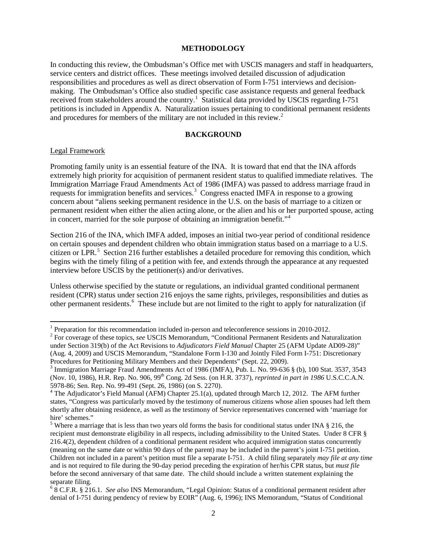#### **METHODOLOGY**

In conducting this review, the Ombudsman's Office met with USCIS managers and staff in headquarters, service centers and district offices. These meetings involved detailed discussion of adjudication responsibilities and procedures as well as direct observation of Form I-751 interviews and decisionmaking. The Ombudsman's Office also studied specific case assistance requests and general feedback received from stakeholders around the country.<sup>[1](#page-2-0)</sup> Statistical data provided by USCIS regarding I-751 petitions is included in Appendix A. Naturalization issues pertaining to conditional permanent residents and procedures for members of the military are not included in this review.<sup>[2](#page-2-1)</sup>

#### **BACKGROUND**

#### Legal Framework

Promoting family unity is an essential feature of the INA. It is toward that end that the INA affords extremely high priority for acquisition of permanent resident status to qualified immediate relatives. The Immigration Marriage Fraud Amendments Act of 1986 (IMFA) was passed to address marriage fraud in requests for immigration benefits and services.<sup>[3](#page-2-2)</sup> Congress enacted IMFA in response to a growing concern about "aliens seeking permanent residence in the U.S. on the basis of marriage to a citizen or permanent resident when either the alien acting alone, or the alien and his or her purported spouse, acting in concert, married for the sole purpose of obtaining an immigration benefit."<sup>[4](#page-2-3)</sup>

Section 216 of the INA, which IMFA added, imposes an initial two-year period of conditional residence on certain spouses and dependent children who obtain immigration status based on a marriage to a U.S. citizen or LPR.<sup>[5](#page-2-4)</sup> Section 216 further establishes a detailed procedure for removing this condition, which begins with the timely filing of a petition with fee, and extends through the appearance at any requested interview before USCIS by the petitioner(s) and/or derivatives.

Unless otherwise specified by the statute or regulations, an individual granted conditional permanent resident (CPR) status under section 216 enjoys the same rights, privileges, responsibilities and duties as other permanent residents.<sup>[6](#page-2-5)</sup> These include but are not limited to the right to apply for naturalization (if

<span id="page-2-1"></span>

<span id="page-2-0"></span><sup>&</sup>lt;sup>1</sup> Preparation for this recommendation included in-person and teleconference sessions in 2010-2012.<br><sup>2</sup> For coverage of these topics, *see* USCIS Memorandum, "Conditional Permanent Residents and Naturalization under Section 319(b) of the Act Revisions to *Adjudicators Field Manual* Chapter 25 (AFM Update AD09-28)" (Aug. 4, 2009) and USCIS Memorandum, "Standalone Form I-130 and Jointly Filed Form I-751: Discretionary Procedures for Petitioning Military Members and their Dependents" (Sept. 22, 2009).

<span id="page-2-2"></span> $3$  Immigration Marriage Fraud Amendments Act of 1986 (IMFA), Pub. L. No. 99-636  $§$  (b), 100 Stat. 3537, 3543 (Nov. 10, 1986), H.R. Rep. No. 906, 99th Cong. 2d Sess. (on H.R. 3737), *reprinted in part in 1986* U.S.C.C.A.N. 5978-86; Sen. Rep. No. 99-491 (Sept. 26, 1986) (on S. 2270).<br><sup>4</sup> The Adjudicator's Field Manual (AFM) Chapter 25.1(a), updated through March 12, 2012. The AFM further

<span id="page-2-3"></span>states, "Congress was particularly moved by the testimony of numerous citizens whose alien spouses had left them shortly after obtaining residence, as well as the testimony of Service representatives concerned with 'marriage for hire' schemes."

<span id="page-2-4"></span><sup>&</sup>lt;sup>5</sup> Where a marriage that is less than two years old forms the basis for conditional status under INA  $\S$  216, the recipient must demonstrate eligibility in all respects, including admissibility to the United States. Under 8 CFR § 216.4(2), dependent children of a conditional permanent resident who acquired immigration status concurrently (meaning on the same date or within 90 days of the parent) may be included in the parent's joint I-751 petition. Children not included in a parent's petition must file a separate I-751. A child filing separately *may file at any time* and is not required to file during the 90-day period preceding the expiration of her/his CPR status, but *must file* before the second anniversary of that same date. The child should include a written statement explaining the separate filing.

<span id="page-2-5"></span><sup>6</sup> 8 C.F.R. § 216.1. *See also* INS Memorandum, "Legal Opinion: Status of a conditional permanent resident after denial of I-751 during pendency of review by EOIR" (Aug. 6, 1996); INS Memorandum, "Status of Conditional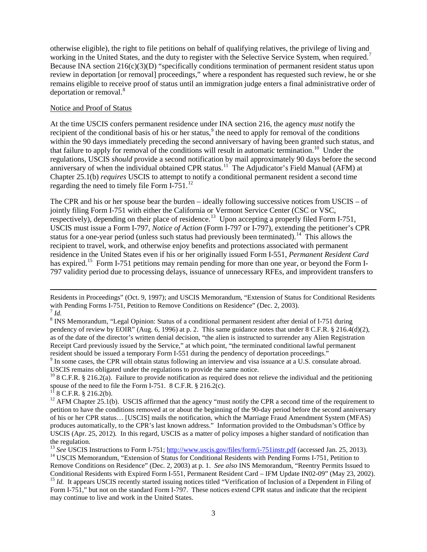otherwise eligible), the right to file petitions on behalf of qualifying relatives, the privilege of living and working in the United States, and the duty to register with the Selective Service System, when required.<sup>[7](#page-3-0)</sup> Because INA section  $216(c)(3)(D)$  "specifically conditions termination of permanent resident status upon review in deportation [or removal] proceedings," where a respondent has requested such review, he or she remains eligible to receive proof of status until an immigration judge enters a final administrative order of deportation or removal.<sup>[8](#page-3-1)</sup>

#### Notice and Proof of Status

At the time USCIS confers permanent residence under INA section 216, the agency *must* notify the recipient of the conditional basis of his or her status,<sup>[9](#page-3-2)</sup> the need to apply for removal of the conditions within the 90 days immediately preceding the second anniversary of having been granted such status, and that failure to apply for removal of the conditions will result in automatic termination.<sup>10</sup> Under the regulations, USCIS *should* provide a second notification by mail approximately 90 days before the second anniversary of when the individual obtained CPR status.<sup>[11](#page-3-4)</sup> The Adjudicator's Field Manual (AFM) at Chapter 25.1(b) *requires* USCIS to attempt to notify a conditional permanent resident a second time regarding the need to timely file Form I-751.<sup>12</sup>

The CPR and his or her spouse bear the burden – ideally following successive notices from USCIS – of jointly filing Form I-751 with either the California or Vermont Service Center (CSC or VSC, respectively), depending on their place of residence.<sup>[13](#page-3-6)</sup> Upon accepting a properly filed Form I-751, USCIS must issue a Form I-797, *Notice of Action* (Form I-797 or I-797), extending the petitioner's CPR status for a one-year period (unless such status had previously been terminated).<sup>[14](#page-3-7)</sup> This allows the recipient to travel, work, and otherwise enjoy benefits and protections associated with permanent residence in the United States even if his or her originally issued Form I-551, *Permanent Resident Card* has expired.<sup>15</sup> Form I-751 petitions may remain pending for more than one year, or beyond the Form I-797 validity period due to processing delays, issuance of unnecessary RFEs, and improvident transfers to

 $\overline{\phantom{a}}$ 

Residents in Proceedings" (Oct. 9, 1997); and USCIS Memorandum, "Extension of Status for Conditional Residents with Pending Forms I-751, Petition to Remove Conditions on Residence" (Dec. 2, 2003).<br><sup>7</sup> *Id.* 

<span id="page-3-1"></span><span id="page-3-0"></span><sup>&</sup>lt;sup>8</sup> INS Memorandum, "Legal Opinion: Status of a conditional permanent resident after denial of I-751 during pendency of review by EOIR" (Aug. 6, 1996) at p. 2. This same guidance notes that under 8 C.F.R. § 216.4(d)(2), as of the date of the director's written denial decision, "the alien is instructed to surrender any Alien Registration Receipt Card previously issued by the Service," at which point, "the terminated conditional lawful permanent

<span id="page-3-2"></span><sup>&</sup>lt;sup>9</sup> In some cases, the CPR will obtain status following an interview and visa issuance at a U.S. consulate abroad.<br>USCIS remains obligated under the regulations to provide the same notice.

<span id="page-3-3"></span><sup>&</sup>lt;sup>10</sup> 8 C.F.R. § 216.2(a). Failure to provide notification as required does not relieve the individual and the petitioning spouse of the need to file the Form I-751. 8 C.F.R. § 216.2(c).<br><sup>11</sup> 8 C.F.R. § 216.2(b). 1<sup>2</sup> AFM Chapter 25.1(b). USCIS affirmed that the agency "must notify the CPR a second time of the requirement to

<span id="page-3-4"></span>

<span id="page-3-5"></span>petition to have the conditions removed at or about the beginning of the 90-day period before the second anniversary of his or her CPR status… [USCIS] mails the notification, which the Marriage Fraud Amendment System (MFAS) produces automatically, to the CPR's last known address." Information provided to the Ombudsman's Office by USCIS (Apr. 25, 2012). In this regard, USCIS as a matter of policy imposes a higher standard of notification than the regulation.

<span id="page-3-7"></span><span id="page-3-6"></span><sup>&</sup>lt;sup>13</sup> See USCIS Instructions to Form I-751; http://www.uscis.gov/files/form/i-751instr.pdf [\(](http://www.uscis.gov/files/form/i-751instr.pdf)accessed Jan. 25, 2013).<br><sup>14</sup> USCIS Memorandum, "Extension of Status for Conditional Residents with Pending Forms I-751, Petition Remove Conditions on Residence" (Dec. 2, 2003) at p. 1. *See also* INS Memorandum, "Reentry Permits Issued to

<span id="page-3-8"></span><sup>&</sup>lt;sup>15</sup> Id. It appears USCIS recently started issuing notices titled "Verification of Inclusion of a Dependent in Filing of Form I-751," but not on the standard Form I-797. These notices extend CPR status and indicate that the recipient may continue to live and work in the United States.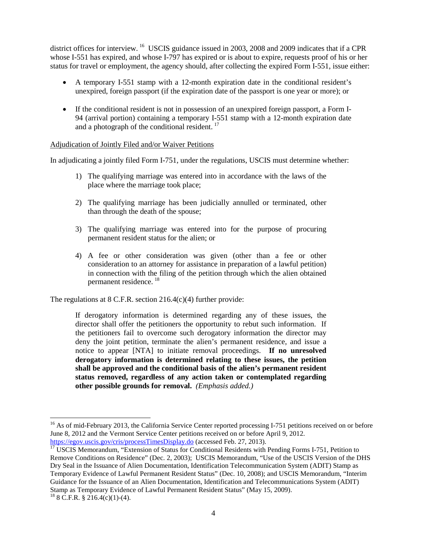district offices for interview. <sup>[16](#page-4-0)</sup> USCIS guidance issued in 2003, 2008 and 2009 indicates that if a CPR whose I-551 has expired, and whose I-797 has expired or is about to expire, requests proof of his or her status for travel or employment, the agency should, after collecting the expired Form I-551, issue either:

- A temporary I-551 stamp with a 12-month expiration date in the conditional resident's unexpired, foreign passport (if the expiration date of the passport is one year or more); or
- If the conditional resident is not in possession of an unexpired foreign passport, a Form I-94 (arrival portion) containing a temporary I-551 stamp with a 12-month expiration date and a photograph of the conditional resident. [17](#page-4-1)

#### Adjudication of Jointly Filed and/or Waiver Petitions

In adjudicating a jointly filed Form I-751, under the regulations, USCIS must determine whether:

- 1) The qualifying marriage was entered into in accordance with the laws of the place where the marriage took place;
- 2) The qualifying marriage has been judicially annulled or terminated, other than through the death of the spouse;
- 3) The qualifying marriage was entered into for the purpose of procuring permanent resident status for the alien; or
- 4) A fee or other consideration was given (other than a fee or other consideration to an attorney for assistance in preparation of a lawful petition) in connection with the filing of the petition through which the alien obtained permanent residence. [18](#page-4-2)

The regulations at 8 C.F.R. section 216.4(c)(4) further provide:

If derogatory information is determined regarding any of these issues, the director shall offer the petitioners the opportunity to rebut such information. If the petitioners fail to overcome such derogatory information the director may deny the joint petition, terminate the alien's permanent residence, and issue a notice to appear [NTA] to initiate removal proceedings. **If no unresolved derogatory information is determined relating to these issues, the petition shall be approved and the conditional basis of the alien's permanent resident status removed, regardless of any action taken or contemplated regarding other possible grounds for removal.** *(Emphasis added.)*

<span id="page-4-0"></span><sup>&</sup>lt;sup>16</sup> As of mid-February 2013, the California Service Center reported processing I-751 petitions received on or before June 8, 2012 and the Vermont Service Center petitions received on or before April 9, 2012.<br>https://egov.uscis.gov/cris/processTimesDisplay.do (accessed Feb. 27, 2013).

<span id="page-4-2"></span><span id="page-4-1"></span> $\frac{17}{17}$  $\frac{17}{17}$  $\frac{17}{17}$  USCIS Memorandum, "Extension of Status for Conditional Residents with Pending Forms I-751, Petition to Remove Conditions on Residence" (Dec. 2, 2003); USCIS Memorandum, "Use of the USCIS Version of the DHS Dry Seal in the Issuance of Alien Documentation, Identification Telecommunication System (ADIT) Stamp as Temporary Evidence of Lawful Permanent Resident Status" (Dec. 10, 2008); and USCIS Memorandum, "Interim Guidance for the Issuance of an Alien Documentation, Identification and Telecommunications System (ADIT) Stamp as Temporary Evidence of Lawful Permanent Resident Status" (May 15, 2009). <sup>18</sup> 8 C.F.R. § 216.4(c)(1)-(4).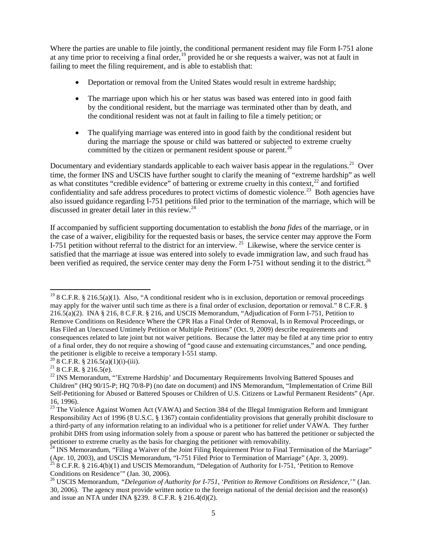Where the parties are unable to file jointly, the conditional permanent resident may file Form I-751 alone at any time prior to receiving a final order,<sup>[19](#page-5-0)</sup> provided he or she requests a waiver, was not at fault in failing to meet the filing requirement, and is able to establish that:

- Deportation or removal from the United States would result in extreme hardship;
- The marriage upon which his or her status was based was entered into in good faith by the conditional resident, but the marriage was terminated other than by death, and the conditional resident was not at fault in failing to file a timely petition; or
- The qualifying marriage was entered into in good faith by the conditional resident but during the marriage the spouse or child was battered or subjected to extreme cruelty committed by the citizen or permanent resident spouse or parent.<sup>[20](#page-5-1)</sup>

Documentary and evidentiary standards applicable to each waiver basis appear in the regulations.<sup>[21](#page-5-2)</sup> Over time, the former INS and USCIS have further sought to clarify the meaning of "extreme hardship" as well as what constitutes "credible evidence" of battering or extreme cruelty in this context, $22$  and fortified confidentiality and safe address procedures to protect victims of domestic violence.<sup>[23](#page-5-4)</sup> Both agencies have also issued guidance regarding I-751 petitions filed prior to the termination of the marriage, which will be discussed in greater detail later in this review.<sup>[24](#page-5-5)</sup>

If accompanied by sufficient supporting documentation to establish the *bona fides* of the marriage, or in the case of a waiver, eligibility for the requested basis or bases, the service center may approve the Form I-751 petition without referral to the district for an interview.<sup>[25](#page-5-6)</sup> Likewise, where the service center is satisfied that the marriage at issue was entered into solely to evade immigration law, and such fraud has been verified as required, the service center may deny the Form I-751 without sending it to the district.<sup>[26](#page-5-7)</sup>

<span id="page-5-0"></span><sup>&</sup>lt;sup>19</sup> 8 C.F.R. § 216.5(a)(1). Also, "A conditional resident who is in exclusion, deportation or removal proceedings may apply for the waiver until such time as there is a final order of exclusion, deportation or removal." 8 C.F.R. § 216.5(a)(2). INA § 216, 8 C.F.R. § 216, and USCIS Memorandum, "Adjudication of Form I-751, Petition to Remove Conditions on Residence Where the CPR Has a Final Order of Removal, Is in Removal Proceedings, or Has Filed an Unexcused Untimely Petition or Multiple Petitions" (Oct. 9, 2009) describe requirements and consequences related to late joint but not waiver petitions. Because the latter may be filed at any time prior to entry of a final order, they do not require a showing of "good cause and extenuating circumstances," and once pending, the petitioner is eligible to receive a temporary I-551 stamp.<br>
<sup>20</sup> 8 C.F.R. § 216.5(a)(1)(i)-(iii).<br>
<sup>21</sup> 8 C.F.R. § 216.5(e).<br>
<sup>22</sup> INS Memorandum, "'Extreme Hardship' and Documentary Requirements Involving Battered Sp

<span id="page-5-1"></span>

<span id="page-5-3"></span><span id="page-5-2"></span>Children" (HQ 90/15-P; HQ 70/8-P) (no date on document) and INS Memorandum, "Implementation of Crime Bill Self-Petitioning for Abused or Battered Spouses or Children of U.S. Citizens or Lawful Permanent Residents" (Apr. 16, 1996).

<span id="page-5-4"></span> $^{23}$  The Violence Against Women Act (VAWA) and Section 384 of the Illegal Immigration Reform and Immigrant Responsibility Act of 1996 (8 U.S.C. § 1367) contain confidentiality provisions that generally prohibit disclosure to a third-party of any information relating to an individual who is a petitioner for relief under VAWA. They further prohibit DHS from using information solely from a spouse or parent who has battered the petitioner or subjected the petitioner to extreme cruelty as the basis for charging the petitioner with removability.<br><sup>24</sup> INS Memorandum, "Filing a Waiver of the Joint Filing Requirement Prior to Final Termination of the Marriage"

<span id="page-5-6"></span><span id="page-5-5"></span><sup>(</sup>Apr. 10, 2003), and USCIS Memorandum, "I-751 Filed Prior to Termination of Marriage" (Apr. 3, 2009).<br><sup>25</sup> 8 C.F.R. § 216.4(b)(1) and USCIS Memorandum, "Delegation of Authority for I-751, 'Petition to Remove Conditions on

<span id="page-5-7"></span><sup>&</sup>lt;sup>26</sup> USCIS Memorandum, "Delegation of Authority for I-751, 'Petition to Remove Conditions on Residence,'" (Jan. 30, 2006). The agency must provide written notice to the foreign national of the denial decision and the reason(s) and issue an NTA under INA §239. 8 C.F.R. § 216.4(d)(2).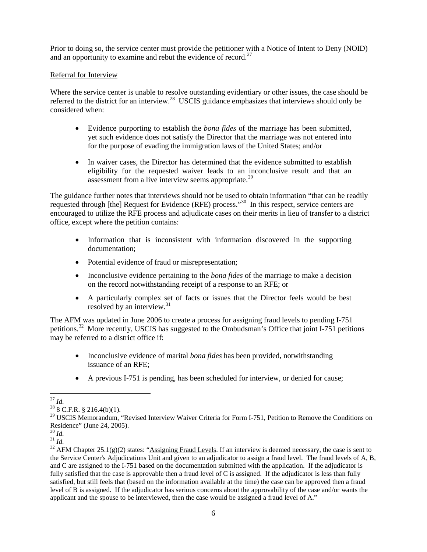Prior to doing so, the service center must provide the petitioner with a Notice of Intent to Deny (NOID) and an opportunity to examine and rebut the evidence of record.<sup>[27](#page-6-0)</sup>

### Referral for Interview

Where the service center is unable to resolve outstanding evidentiary or other issues, the case should be referred to the district for an interview.<sup>28</sup> USCIS guidance emphasizes that interviews should only be considered when:

- Evidence purporting to establish the *bona fides* of the marriage has been submitted, yet such evidence does not satisfy the Director that the marriage was not entered into for the purpose of evading the immigration laws of the United States; and/or
- In waiver cases, the Director has determined that the evidence submitted to establish eligibility for the requested waiver leads to an inconclusive result and that an assessment from a live interview seems appropriate.<sup>[29](#page-6-2)</sup>

The guidance further notes that interviews should not be used to obtain information "that can be readily requested through [the] Request for Evidence (RFE) process."[30](#page-6-3) In this respect, service centers are encouraged to utilize the RFE process and adjudicate cases on their merits in lieu of transfer to a district office, except where the petition contains:

- Information that is inconsistent with information discovered in the supporting documentation;
- Potential evidence of fraud or misrepresentation;
- Inconclusive evidence pertaining to the *bona fides* of the marriage to make a decision on the record notwithstanding receipt of a response to an RFE; or
- A particularly complex set of facts or issues that the Director feels would be best resolved by an interview.<sup>[31](#page-6-4)</sup>

The AFM was updated in June 2006 to create a process for assigning fraud levels to pending I-751 petitions.[32](#page-6-5) More recently, USCIS has suggested to the Ombudsman's Office that joint I-751 petitions may be referred to a district office if:

- Inconclusive evidence of marital *bona fides* has been provided, notwithstanding issuance of an RFE;
- A previous I-751 is pending, has been scheduled for interview, or denied for cause;

<span id="page-6-0"></span> $^{27}$  *Id.*  $^{28}$  8 C.F.R. § 216.4(b)(1).

<span id="page-6-2"></span><span id="page-6-1"></span><sup>&</sup>lt;sup>29</sup> USCIS Memorandum, "Revised Interview Waiver Criteria for Form I-751, Petition to Remove the Conditions on Residence" (June 24, 2005).

<span id="page-6-5"></span>

<span id="page-6-4"></span><span id="page-6-3"></span><sup>&</sup>lt;sup>30</sup> *Id.*<br><sup>31</sup> *Id.* 32 *AFM* Chapter 25.1(g)(2) states: "Assigning Fraud Levels. If an interview is deemed necessary, the case is sent to the Service Center's Adjudications Unit and given to an adjudicator to assign a fraud level. The fraud levels of A, B, and C are assigned to the I-751 based on the documentation submitted with the application. If the adjudicator is fully satisfied that the case is approvable then a fraud level of C is assigned. If the adjudicator is less than fully satisfied, but still feels that (based on the information available at the time) the case can be approved then a fraud level of B is assigned. If the adjudicator has serious concerns about the approvability of the case and/or wants the applicant and the spouse to be interviewed, then the case would be assigned a fraud level of A."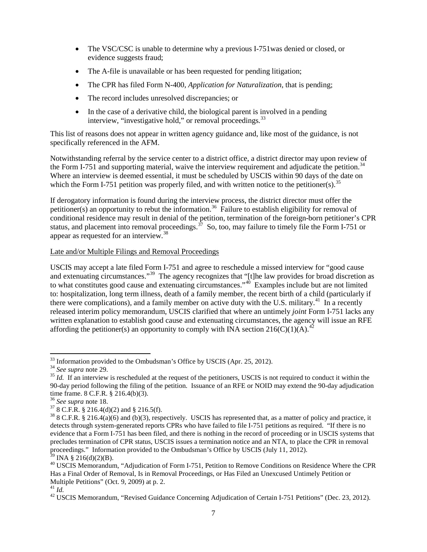- The VSC/CSC is unable to determine why a previous I-751 was denied or closed, or evidence suggests fraud;
- The A-file is unavailable or has been requested for pending litigation;
- The CPR has filed Form N-400, *Application for Naturalization*, that is pending;
- The record includes unresolved discrepancies; or
- In the case of a derivative child, the biological parent is involved in a pending interview, "investigative hold," or removal proceedings.<sup>[33](#page-7-0)</sup>

This list of reasons does not appear in written agency guidance and, like most of the guidance, is not specifically referenced in the AFM.

Notwithstanding referral by the service center to a district office, a district director may upon review of the Form I-751 and supporting material, waive the interview requirement and adjudicate the petition.<sup>[34](#page-7-1)</sup> Where an interview is deemed essential, it must be scheduled by USCIS within 90 days of the date on which the Form I-751 petition was properly filed, and with written notice to the petitioner(s).<sup>[35](#page-7-2)</sup>

If derogatory information is found during the interview process, the district director must offer the petitioner(s) an opportunity to rebut the information.<sup>36</sup> Failure to establish eligibility for removal of conditional residence may result in denial of the petition, termination of the foreign-born petitioner's CPR status, and placement into removal proceedings.<sup>[37](#page-7-4)</sup> So, too, may failure to timely file the Form I-751 or appear as requested for an interview.<sup>[38](#page-7-5)</sup>

# Late and/or Multiple Filings and Removal Proceedings

USCIS may accept a late filed Form I-751 and agree to reschedule a missed interview for "good cause and extenuating circumstances."<sup>[39](#page-7-6)</sup> The agency recognizes that "[t]he law provides for broad discretion as to what constitutes good cause and extenuating circumstances."<sup>[40](#page-7-7)</sup> Examples include but are not limited to: hospitalization, long term illness, death of a family member, the recent birth of a child (particularly if there were complications), and a family member on active duty with the U.S. military.<sup>[41](#page-7-8)</sup> In a recently released interim policy memorandum, USCIS clarified that where an untimely *joint* Form I-751 lacks any written explanation to establish good cause and extenuating circumstances, the agency will issue an RFE affording the petitioner(s) an opportunity to comply with INA section 216(C)(1)(A).<sup>[42](#page-7-9)</sup>

<span id="page-7-2"></span>

<span id="page-7-1"></span><span id="page-7-0"></span><sup>&</sup>lt;sup>33</sup> Information provided to the Ombudsman's Office by USCIS (Apr. 25, 2012).<br><sup>34</sup> See supra note 29.<br><sup>35</sup> Id. If an interview is rescheduled at the request of the petitioners, USCIS is not required to conduct it within t 90-day period following the filing of the petition. Issuance of an RFE or NOID may extend the 90-day adjudication time frame. 8 C.F.R. § 216.4(b)(3).

<span id="page-7-5"></span>

<span id="page-7-4"></span><span id="page-7-3"></span><sup>&</sup>lt;sup>36</sup> See supra note 18.<br><sup>37</sup> 8 C.F.R. § 216.4(d)(2) and § 216.5(f).<br><sup>38</sup> 8 C.F.R. § 216.4(a)(6) and (b)(3), respectively. USCIS has represented that, as a matter of policy and practice, it detects through system-generated reports CPRs who have failed to file I-751 petitions as required. "If there is no evidence that a Form I-751 has been filed, and there is nothing in the record of proceeding or in USCIS systems that precludes termination of CPR status, USCIS issues a termination notice and an NTA, to place the CPR in removal proceedings." Information provided to the Ombudsman's Office by USCIS (July 11, 2012).<br><sup>39</sup> INA § 216(d)(2)(B).

<span id="page-7-7"></span><span id="page-7-6"></span><sup>&</sup>lt;sup>40</sup> USCIS Memorandum, "Adjudication of Form I-751, Petition to Remove Conditions on Residence Where the CPR Has a Final Order of Removal, Is in Removal Proceedings, or Has Filed an Unexcused Untimely Petition or Multiple Petitions" (Oct. 9, 2009) at p. 2.<br> $^{41}$  *M* 

<span id="page-7-8"></span>

<span id="page-7-9"></span><sup>&</sup>lt;sup>42</sup> USCIS Memorandum, "Revised Guidance Concerning Adjudication of Certain I-751 Petitions" (Dec. 23, 2012).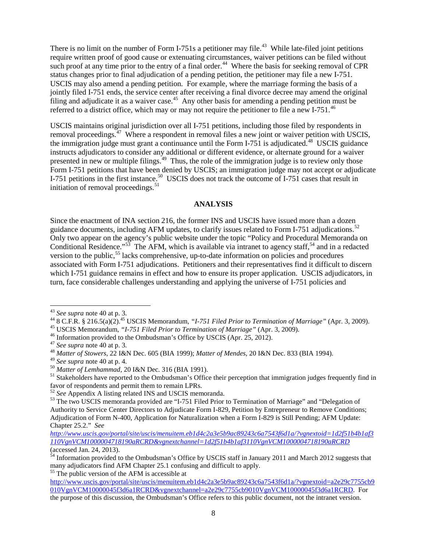There is no limit on the number of Form I-751s a petitioner may file.<sup>43</sup> While late-filed joint petitions require written proof of good cause or extenuating circumstances, waiver petitions can be filed without such proof at any time prior to the entry of a final order.<sup>[44](#page-8-1)</sup> Where the basis for seeking removal of CPR status changes prior to final adjudication of a pending petition, the petitioner may file a new I-751. USCIS may also amend a pending petition. For example, where the marriage forming the basis of a jointly filed I-751 ends, the service center after receiving a final divorce decree may amend the original filing and adjudicate it as a waiver case.<sup>[45](#page-8-2)</sup> Any other basis for amending a pending petition must be referred to a district office, which may or may not require the petitioner to file a new I-751.<sup>[46](#page-8-3)</sup>

USCIS maintains original jurisdiction over all I-751 petitions, including those filed by respondents in removal proceedings.<sup>[47](#page-8-4)</sup> Where a respondent in removal files a new joint or waiver petition with USCIS, the immigration judge must grant a continuance until the Form I-751 is adjudicated.<sup>48</sup> USCIS guidance instructs adjudicators to consider any additional or different evidence, or alternate ground for a waiver presented in new or multiple filings.<sup>49</sup> Thus, the role of the immigration judge is to review only those Form I-751 petitions that have been denied by USCIS; an immigration judge may not accept or adjudicate I-751 petitions in the first instance.<sup>[50](#page-8-7)</sup> USCIS does not track the outcome of I-751 cases that result in initiation of removal proceedings.<sup>[51](#page-8-8)</sup>

#### **ANALYSIS**

Since the enactment of INA section 216, the former INS and USCIS have issued more than a dozen guidance documents, including AFM updates, to clarify issues related to Form I-751 adjudications.<sup>52</sup> Only two appear on the agency's public website under the topic "Policy and Procedural Memoranda on Conditional Residence."<sup>53</sup> The AFM, which is available via intranet to agency staff,<sup>54</sup> and in a redacted version to the public,<sup>[55](#page-8-12)</sup> lacks comprehensive, up-to-date information on policies and procedures associated with Form I-751 adjudications. Petitioners and their representatives find it difficult to discern which I-751 guidance remains in effect and how to ensure its proper application. USCIS adjudicators, in turn, face considerable challenges understanding and applying the universe of I-751 policies and

<span id="page-8-2"></span>

<span id="page-8-12"></span><sup>55</sup> The public version of the AFM is accessible at

<span id="page-8-1"></span><span id="page-8-0"></span><sup>&</sup>lt;sup>43</sup> See supra note 40 at p. 3.<br>
<sup>44</sup> 8 C.F.R. § 216.5(a)(2).<sup>45</sup> USCIS Memorandum, "*I-751 Filed Prior to Termination of Marriage*" (Apr. 3, 2009).<br>
<sup>45</sup> USCIS Memorandum, "*I-751 Filed Prior to Termination of Marriage*"

<span id="page-8-3"></span>

<span id="page-8-4"></span>

<span id="page-8-5"></span>

<span id="page-8-8"></span><span id="page-8-7"></span><span id="page-8-6"></span><sup>&</sup>lt;sup>50</sup> *Matter of Lemhammad*, 20 I&N Dec. 316 (BIA 1991). <sup>51</sup> Stakeholders have reported to the Ombudsman's Office their perception that immigration judges frequently find in favor of respondents and permit them to remain LPRs.<br><sup>52</sup> See Appendix A listing related INS and USCIS memoranda.

<span id="page-8-10"></span><span id="page-8-9"></span><sup>&</sup>lt;sup>53</sup> The two USCIS memoranda provided are "I-751 Filed Prior to Termination of Marriage" and "Delegation of Authority to Service Center Directors to Adjudicate Form I-829, Petition by Entrepreneur to Remove Conditions; Adjudication of Form N-400, Application for Naturalization when a Form I-829 is Still Pending; AFM Update: Chapter 25.2." *See* 

*[http://www.uscis.gov/portal/site/uscis/menuitem.eb1d4c2a3e5b9ac89243c6a7543f6d1a/?vgnextoid=1d2f51b4b1af3](http://www.uscis.gov/portal/site/uscis/menuitem.eb1d4c2a3e5b9ac89243c6a7543f6d1a/?vgnextoid=1d2f51b4b1af3110VgnVCM1000004718190aRCRD&vgnextchannel=1d2f51b4b1af3110VgnVCM1000004718190aRCRD) [110VgnVCM1000004718190aRCRD&vgnextchannel=1d2f51b4b1af3110VgnVCM1000004718190aRCRD](http://www.uscis.gov/portal/site/uscis/menuitem.eb1d4c2a3e5b9ac89243c6a7543f6d1a/?vgnextoid=1d2f51b4b1af3110VgnVCM1000004718190aRCRD&vgnextchannel=1d2f51b4b1af3110VgnVCM1000004718190aRCRD)* (accessed Jan. 24, 2013).

<span id="page-8-11"></span><sup>&</sup>lt;sup>54</sup> Information provided to the Ombudsman's Office by USCIS staff in January 2011 and March 2012 suggests that many adjudicators find AFM Chapter 25.1 confusing and difficult to apply.

[http://www.uscis.gov/portal/site/uscis/menuitem.eb1d4c2a3e5b9ac89243c6a7543f6d1a/?vgnextoid=a2e29c7755cb9](http://www.uscis.gov/portal/site/uscis/menuitem.eb1d4c2a3e5b9ac89243c6a7543f6d1a/?vgnextoid=a2e29c7755cb9010VgnVCM10000045f3d6a1RCRD&vgnextchannel=a2e29c7755cb9010VgnVCM10000045f3d6a1RCRD) [010VgnVCM10000045f3d6a1RCRD&vgnextchannel=a2e29c7755cb9010VgnVCM10000045f3d6a1RCRD.](http://www.uscis.gov/portal/site/uscis/menuitem.eb1d4c2a3e5b9ac89243c6a7543f6d1a/?vgnextoid=a2e29c7755cb9010VgnVCM10000045f3d6a1RCRD&vgnextchannel=a2e29c7755cb9010VgnVCM10000045f3d6a1RCRD) For the purpose of this discussion, the Ombudsman's Office refers to this public document, not the intranet version.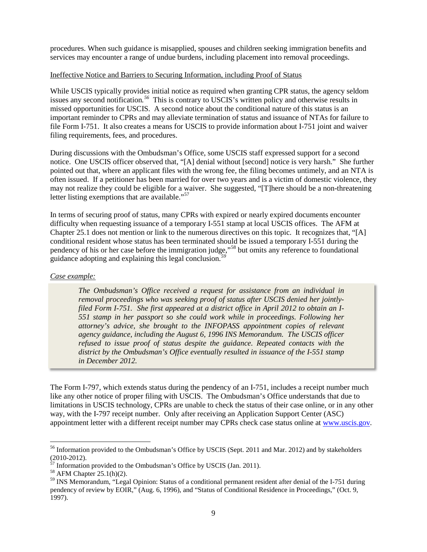procedures. When such guidance is misapplied, spouses and children seeking immigration benefits and services may encounter a range of undue burdens, including placement into removal proceedings.

# Ineffective Notice and Barriers to Securing Information, including Proof of Status

While USCIS typically provides initial notice as required when granting CPR status, the agency seldom issues any second notification*. [56](#page-9-0)* This is contrary to USCIS's written policy and otherwise results in missed opportunities for USCIS. A second notice about the conditional nature of this status is an important reminder to CPRs and may alleviate termination of status and issuance of NTAs for failure to file Form I-751. It also creates a means for USCIS to provide information about I-751 joint and waiver filing requirements, fees, and procedures.

During discussions with the Ombudsman's Office, some USCIS staff expressed support for a second notice. One USCIS officer observed that, "[A] denial without [second] notice is very harsh." She further pointed out that, where an applicant files with the wrong fee, the filing becomes untimely, and an NTA is often issued. If a petitioner has been married for over two years and is a victim of domestic violence, they may not realize they could be eligible for a waiver. She suggested, "[T]here should be a non-threatening letter listing exemptions that are available."<sup>[57](#page-9-1)</sup>

In terms of securing proof of status, many CPRs with expired or nearly expired documents encounter difficulty when requesting issuance of a temporary I-551 stamp at local USCIS offices. The AFM at Chapter 25.1 does not mention or link to the numerous directives on this topic. It recognizes that, "[A] conditional resident whose status has been terminated should be issued a temporary I-551 during the pendency of his or her case before the immigration judge,"[58](#page-9-2) but omits any reference to foundational guidance adopting and explaining this legal conclusion.*[59](#page-9-3)*

#### *Case example:*

*The Ombudsman's Office received a request for assistance from an individual in removal proceedings who was seeking proof of status after USCIS denied her jointlyfiled Form I-751. She first appeared at a district office in April 2012 to obtain an I-551 stamp in her passport so she could work while in proceedings. Following her attorney's advice, she brought to the INFOPASS appointment copies of relevant agency guidance, including the August 6, 1996 INS Memorandum. The USCIS officer refused to issue proof of status despite the guidance. Repeated contacts with the district by the Ombudsman's Office eventually resulted in issuance of the I-551 stamp in December 2012.* 

The Form I-797, which extends status during the pendency of an I-751, includes a receipt number much like any other notice of proper filing with USCIS. The Ombudsman's Office understands that due to limitations in USCIS technology, CPRs are unable to check the status of their case online, or in any other way, with the I-797 receipt number. Only after receiving an Application Support Center (ASC) appointment letter with a different receipt number may CPRs check case status online at [www.uscis.gov.](http://www.uscis.gov/)

<span id="page-9-0"></span><sup>&</sup>lt;sup>56</sup> Information provided to the Ombudsman's Office by USCIS (Sept. 2011 and Mar. 2012) and by stakeholders (2010-2012).

<span id="page-9-3"></span>

<span id="page-9-2"></span><span id="page-9-1"></span><sup>&</sup>lt;sup>57</sup> Information provided to the Ombudsman's Office by USCIS (Jan. 2011).<br><sup>58</sup> AFM Chapter 25.1(h)(2).<br><sup>59</sup> INS Memorandum, "Legal Opinion: Status of a conditional permanent resident after denial of the I-751 during pendency of review by EOIR," (Aug. 6, 1996), and "Status of Conditional Residence in Proceedings," (Oct. 9, 1997).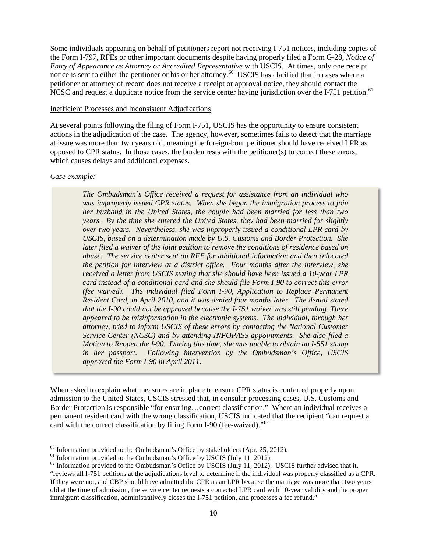Some individuals appearing on behalf of petitioners report not receiving I-751 notices, including copies of the Form I-797, RFEs or other important documents despite having properly filed a Form G-28, *Notice of Entry of Appearance as Attorney or Accredited Representative* with USCIS. At times, only one receipt notice is sent to either the petitioner or his or her attorney.<sup>60</sup> USCIS has clarified that in cases where a petitioner or attorney of record does not receive a receipt or approval notice, they should contact the NCSC and request a duplicate notice from the service center having jurisdiction over the I-751 petition.<sup>[61](#page-10-1)</sup>

#### Inefficient Processes and Inconsistent Adjudications

At several points following the filing of Form I-751, USCIS has the opportunity to ensure consistent actions in the adjudication of the case. The agency, however, sometimes fails to detect that the marriage at issue was more than two years old, meaning the foreign-born petitioner should have received LPR as opposed to CPR status. In those cases, the burden rests with the petitioner(s) to correct these errors, which causes delays and additional expenses.

#### *Case example:*

*The Ombudsman's Office received a request for assistance from an individual who was improperly issued CPR status. When she began the immigration process to join her husband in the United States, the couple had been married for less than two years. By the time she entered the United States, they had been married for slightly over two years. Nevertheless, she was improperly issued a conditional LPR card by USCIS, based on a determination made by U.S. Customs and Border Protection. She later filed a waiver of the joint petition to remove the conditions of residence based on abuse. The service center sent an RFE for additional information and then relocated the petition for interview at a district office. Four months after the interview, she received a letter from USCIS stating that she should have been issued a 10-year LPR card instead of a conditional card and she should file Form I-90 to correct this error (fee waived). The individual filed Form I-90, Application to Replace Permanent Resident Card, in April 2010, and it was denied four months later. The denial stated that the I-90 could not be approved because the I-751 waiver was still pending. There appeared to be misinformation in the electronic systems. The individual, through her attorney, tried to inform USCIS of these errors by contacting the National Customer Service Center (NCSC) and by attending INFOPASS appointments. She also filed a Motion to Reopen the I-90. During this time, she was unable to obtain an I-551 stamp in her passport. Following intervention by the Ombudsman's Office, USCIS approved the Form I-90 in April 2011.* 

When asked to explain what measures are in place to ensure CPR status is conferred properly upon admission to the United States, USCIS stressed that, in consular processing cases, U.S. Customs and Border Protection is responsible "for ensuring…correct classification." Where an individual receives a permanent resident card with the wrong classification, USCIS indicated that the recipient "can request a card with the correct classification by filing Form I-90 (fee-waived)."<sup>[62](#page-10-2)</sup>

<span id="page-10-2"></span>

<span id="page-10-1"></span><span id="page-10-0"></span><sup>&</sup>lt;sup>60</sup> Information provided to the Ombudsman's Office by stakeholders (Apr. 25, 2012).<br><sup>61</sup> Information provided to the Ombudsman's Office by USCIS (July 11, 2012).<br><sup>62</sup> Information provided to the Ombudsman's Office by USC "reviews all I-751 petitions at the adjudications level to determine if the individual was properly classified as a CPR. If they were not, and CBP should have admitted the CPR as an LPR because the marriage was more than two years old at the time of admission, the service center requests a corrected LPR card with 10-year validity and the proper immigrant classification, administratively closes the I-751 petition, and processes a fee refund."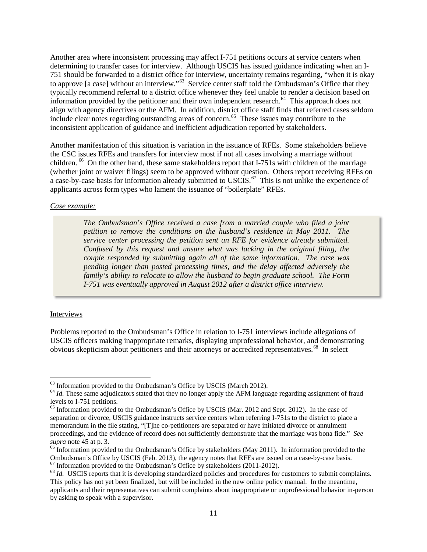Another area where inconsistent processing may affect I-751 petitions occurs at service centers when determining to transfer cases for interview. Although USCIS has issued guidance indicating when an I-751 should be forwarded to a district office for interview, uncertainty remains regarding, "when it is okay to approve [a case] without an interview."<sup>[63](#page-11-0)</sup> Service center staff told the Ombudsman's Office that they typically recommend referral to a district office whenever they feel unable to render a decision based on information provided by the petitioner and their own independent research. $^{64}$  $^{64}$  $^{64}$  This approach does not align with agency directives or the AFM. In addition, district office staff finds that referred cases seldom include clear notes regarding outstanding areas of concern.<sup>65</sup> These issues may contribute to the inconsistent application of guidance and inefficient adjudication reported by stakeholders.

Another manifestation of this situation is variation in the issuance of RFEs. Some stakeholders believe the CSC issues RFEs and transfers for interview most if not all cases involving a marriage without children. <sup>[66](#page-11-3)</sup> On the other hand, these same stakeholders report that I-751s with children of the marriage (whether joint or waiver filings) seem to be approved without question. Others report receiving RFEs on a case-by-case basis for information already submitted to USCIS.<sup>67</sup> This is not unlike the experience of applicants across form types who lament the issuance of "boilerplate" RFEs.

#### *Case example:*

*The Ombudsman's Office received a case from a married couple who filed a joint petition to remove the conditions on the husband's residence in May 2011. The service center processing the petition sent an RFE for evidence already submitted. Confused by this request and unsure what was lacking in the original filing, the couple responded by submitting again all of the same information. The case was pending longer than posted processing times, and the delay affected adversely the family's ability to relocate to allow the husband to begin graduate school. The Form I-751 was eventually approved in August 2012 after a district office interview.* 

# Interviews

Problems reported to the Ombudsman's Office in relation to I-751 interviews include allegations of USCIS officers making inappropriate remarks, displaying unprofessional behavior, and demonstrating obvious skepticism about petitioners and their attorneys or accredited representatives.<sup>[68](#page-11-5)</sup> In select

<span id="page-11-1"></span><span id="page-11-0"></span><sup>&</sup>lt;sup>63</sup> Information provided to the Ombudsman's Office by USCIS (March 2012).<br><sup>64</sup> *Id*. These same adjudicators stated that they no longer apply the AFM language regarding assignment of fraud<br>levels to I-751 petitions.

<span id="page-11-2"></span> $<sup>65</sup>$  Information provided to the Ombudsman's Office by USCIS (Mar. 2012 and Sept. 2012). In the case of</sup> separation or divorce, USCIS guidance instructs service centers when referring I-751s to the district to place a memorandum in the file stating, "[T]he co-petitioners are separated or have initiated divorce or annulment proceedings, and the evidence of record does not sufficiently demonstrate that the marriage was bona fide." *See supra* note 45 at p. 3.<br><sup>66</sup> Information provided to the Ombudsman's Office by stakeholders (May 2011). In information provided to the

<span id="page-11-3"></span>Ombudsman's Office by USCIS (Feb. 2013), the agency notes that RFEs are issued on a case-by-case basis.<br>
<sup>67</sup> Information provided to the Ombudsman's Office by stakeholders (2011-2012).<br>
<sup>68</sup> *Id.* USCIS reports that it i

<span id="page-11-5"></span><span id="page-11-4"></span>This policy has not yet been finalized, but will be included in the new online policy manual. In the meantime, applicants and their representatives can submit complaints about inappropriate or unprofessional behavior in-person by asking to speak with a supervisor.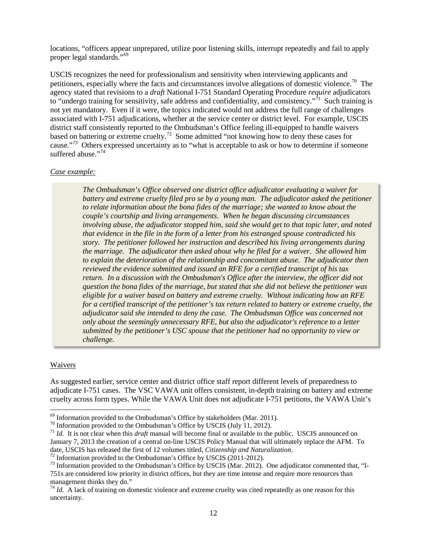locations, "officers appear unprepared, utilize poor listening skills, interrupt repeatedly and fail to apply proper legal standards."<sup>[69](#page-12-0)</sup>

USCIS recognizes the need for professionalism and sensitivity when interviewing applicants and petitioners, especially where the facts and circumstances involve allegations of domestic violence.<sup>70</sup> The agency stated that revisions to a *draft* National I-751 Standard Operating Procedure *require* adjudicators to "undergo training for sensitivity, safe address and confidentiality, and consistency."<sup>71</sup> Such training is not yet mandatory. Even if it were, the topics indicated would not address the full range of challenges associated with I-751 adjudications, whether at the service center or district level. For example, USCIS district staff consistently reported to the Ombudsman's Office feeling ill-equipped to handle waivers based on battering or extreme cruelty.<sup>[72](#page-12-3)</sup> Some admitted "not knowing how to deny these cases for cause*.*"*[73](#page-12-4)* Others expressed uncertainty as to "what is acceptable to ask or how to determine if someone suffered abuse."*[74](#page-12-5)*

#### *Case example:*

*The Ombudsman's Office observed one district office adjudicator evaluating a waiver for battery and extreme cruelty filed pro se by a young man. The adjudicator asked the petitioner to relate information about the bona fides of the marriage; she wanted to know about the couple's courtship and living arrangements. When he began discussing circumstances involving abuse, the adjudicator stopped him, said she would get to that topic later, and noted that evidence in the file in the form of a letter from his estranged spouse contradicted his story. The petitioner followed her instruction and described his living arrangements during the marriage. The adjudicator then asked about why he filed for a waiver. She allowed him to explain the deterioration of the relationship and concomitant abuse. The adjudicator then reviewed the evidence submitted and issued an RFE for a certified transcript of his tax return. In a discussion with the Ombudsman's Office after the interview, the officer did not question the bona fides of the marriage, but stated that she did not believe the petitioner was eligible for a waiver based on battery and extreme cruelty. Without indicating how an RFE for a certified transcript of the petitioner's tax return related to battery or extreme cruelty, the adjudicator said she intended to deny the case. The Ombudsman Office was concerned not only about the seemingly unnecessary RFE, but also the adjudicator's reference to a letter submitted by the petitioner's USC spouse that the petitioner had no opportunity to view or challenge.* 

#### Waivers

As suggested earlier, service center and district office staff report different levels of preparedness to adjudicate I-751 cases. The VSC VAWA unit offers consistent, in-depth training on battery and extreme cruelty across form types. While the VAWA Unit does not adjudicate I-751 petitions, the VAWA Unit's

<span id="page-12-2"></span><span id="page-12-1"></span>

<span id="page-12-0"></span><sup>&</sup>lt;sup>69</sup> Information provided to the Ombudsman's Office by stakeholders (Mar. 2011).<br><sup>70</sup> Information provided to the Ombudsman's Office by USCIS (July 11, 2012).<br><sup>71</sup> *Id*. It is not clear when this *draft* manual will becom January 7, 2013 the creation of a central on-line USCIS Policy Manual that will ultimately replace the AFM. To date, USCIS has released the first of 12 volumes titled, Citizenship and Naturalization.

<span id="page-12-4"></span><span id="page-12-3"></span> $^{72}$  Information provided to the Ombudsman's Office by USCIS (2011-2012).<br> $^{73}$  Information provided to the Ombudsman's Office by USCIS (Mar. 2012). One adjudicator commented that, "I-751s are considered low priority in district offices, but they are time intense and require more resources than management thinks they do."

<span id="page-12-5"></span> $74$  *Id.* A lack of training on domestic violence and extreme cruelty was cited repeatedly as one reason for this uncertainty.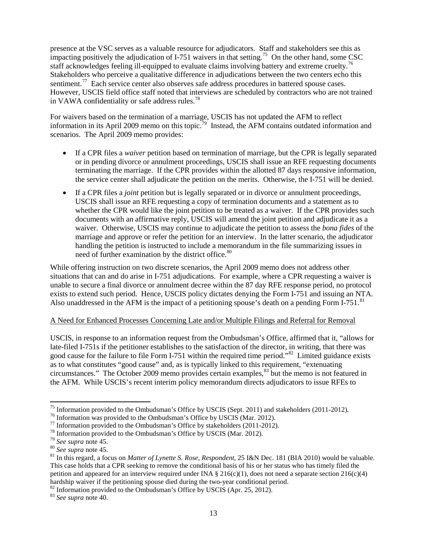presence at the VSC serves as a valuable resource for adjudicators. Staff and stakeholders see this as impacting positively the adjudication of I-751 waivers in that setting.<sup>75</sup> On the other hand, some CSC staff acknowledges feeling ill-equipped to evaluate claims involving battery and extreme cruelty.<sup>[76](#page-13-1)</sup> Stakeholders who perceive a qualitative difference in adjudications between the two centers echo this sentiment.<sup>[77](#page-13-2)</sup> Each service center also observes safe address procedures in battered spouse cases. However, USCIS field office staff noted that interviews are scheduled by contractors who are not trained in VAWA confidentiality or safe address rules.<sup>[78](#page-13-3)</sup>

For waivers based on the termination of a marriage, USCIS has not updated the AFM to reflect information in its April 2009 memo on this topic.<sup>[79](#page-13-4)</sup> Instead, the AFM contains outdated information and scenarios. The April 2009 memo provides:

- If a CPR files a *waiver* petition based on termination of marriage, but the CPR is legally separated or in pending divorce or annulment proceedings, USCIS shall issue an RFE requesting documents terminating the marriage. If the CPR provides within the allotted 87 days responsive information, the service center shall adjudicate the petition on the merits. Otherwise, the I-751 will be denied.
- If a CPR files a *joint* petition but is legally separated or in divorce or annulment proceedings, USCIS shall issue an RFE requesting a copy of termination documents and a statement as to whether the CPR would like the joint petition to be treated as a waiver. If the CPR provides such documents with an affirmative reply, USCIS will amend the joint petition and adjudicate it as a waiver. Otherwise, USCIS may continue to adjudicate the petition to assess the *bona fides* of the marriage and approve or refer the petition for an interview. In the latter scenario, the adjudicator handling the petition is instructed to include a memorandum in the file summarizing issues in need of further examination by the district office.<sup>[80](#page-13-5)</sup>

While offering instruction on two discrete scenarios, the April 2009 memo does not address other situations that can and do arise in I-751 adjudications. For example, where a CPR requesting a waiver is unable to secure a final divorce or annulment decree within the 87 day RFE response period, no protocol exists to extend such period. Hence, USCIS policy dictates denying the Form I-751 and issuing an NTA. Also unaddressed in the AFM is the impact of a petitioning spouse's death on a pending Form I-751.<sup>[81](#page-13-6)</sup>

#### A Need for Enhanced Processes Concerning Late and/or Multiple Filings and Referral for Removal

USCIS, in response to an information request from the Ombudsman's Office, affirmed that it, "allows for late-filed I-751s if the petitioner establishes to the satisfaction of the director, in writing, that there was good cause for the failure to file Form I-751 within the required time period."<sup>82</sup> Limited guidance exists as to what constitutes "good cause" and, as is typically linked to this requirement, "extenuating circumstances." The October 2009 memo provides certain examples,<sup>[83](#page-13-8)</sup> but the memo is not featured in the AFM. While USCIS's recent interim policy memorandum directs adjudicators to issue RFEs to

<span id="page-13-8"></span><span id="page-13-7"></span><sup>82</sup> Information provided to the Ombudsman's Office by USCIS (Apr. 25, 2012). <sup>83</sup> *See supra* note 40.

<span id="page-13-0"></span><sup>&</sup>lt;sup>75</sup> Information provided to the Ombudsman's Office by USCIS (Sept. 2011) and stakeholders (2011-2012).<br><sup>76</sup> Information was provided to the Ombudsman's Office by USCIS (Mar. 2012).<br><sup>77</sup> Information provided to the Ombuds

<span id="page-13-2"></span><span id="page-13-1"></span>

<span id="page-13-3"></span>

<span id="page-13-4"></span>

<span id="page-13-6"></span><span id="page-13-5"></span>This case holds that a CPR seeking to remove the conditional basis of his or her status who has timely filed the petition and appeared for an interview required under INA  $\S 216(c)(1)$ , does not need a separate section 216(c)(4) hardship waiver if the petitioning spouse died during the two-year conditional period.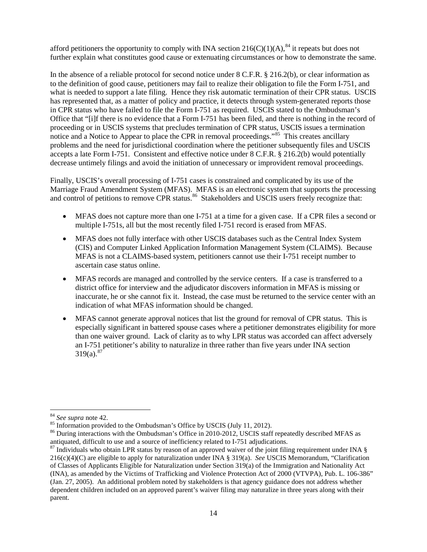afford petitioners the opportunity to comply with INA section  $216(C)(1)(A)$ ,<sup>[84](#page-14-0)</sup> it repeats but does not further explain what constitutes good cause or extenuating circumstances or how to demonstrate the same.

In the absence of a reliable protocol for second notice under 8 C.F.R. § 216.2(b), or clear information as to the definition of good cause, petitioners may fail to realize their obligation to file the Form I-751, and what is needed to support a late filing. Hence they risk automatic termination of their CPR status. USCIS has represented that, as a matter of policy and practice, it detects through system-generated reports those in CPR status who have failed to file the Form I-751 as required. USCIS stated to the Ombudsman's Office that "[i]f there is no evidence that a Form I-751 has been filed, and there is nothing in the record of proceeding or in USCIS systems that precludes termination of CPR status, USCIS issues a termination notice and a Notice to Appear to place the CPR in removal proceedings."<sup>85</sup> This creates ancillary problems and the need for jurisdictional coordination where the petitioner subsequently files and USCIS accepts a late Form I-751. Consistent and effective notice under 8 C.F.R. § 216.2(b) would potentially decrease untimely filings and avoid the initiation of unnecessary or improvident removal proceedings.

Finally, USCIS's overall processing of I-751 cases is constrained and complicated by its use of the Marriage Fraud Amendment System (MFAS). MFAS is an electronic system that supports the processing and control of petitions to remove CPR status.<sup>86</sup> Stakeholders and USCIS users freely recognize that:

- MFAS does not capture more than one I-751 at a time for a given case. If a CPR files a second or multiple I-751s, all but the most recently filed I-751 record is erased from MFAS.
- MFAS does not fully interface with other USCIS databases such as the Central Index System (CIS) and Computer Linked Application Information Management System (CLAIMS). Because MFAS is not a CLAIMS-based system, petitioners cannot use their I-751 receipt number to ascertain case status online.
- MFAS records are managed and controlled by the service centers. If a case is transferred to a district office for interview and the adjudicator discovers information in MFAS is missing or inaccurate, he or she cannot fix it. Instead, the case must be returned to the service center with an indication of what MFAS information should be changed.
- MFAS cannot generate approval notices that list the ground for removal of CPR status. This is especially significant in battered spouse cases where a petitioner demonstrates eligibility for more than one waiver ground. Lack of clarity as to why LPR status was accorded can affect adversely an I-751 petitioner's ability to naturalize in three rather than five years under INA section  $319(a).^{87}$  $319(a).^{87}$  $319(a).^{87}$

<span id="page-14-2"></span><span id="page-14-1"></span>

<span id="page-14-0"></span><sup>&</sup>lt;sup>84</sup> *See supra* note 42.<br><sup>85</sup> Information provided to the Ombudsman's Office by USCIS (July 11, 2012).<br><sup>86</sup> During interactions with the Ombudsman's Office in 2010-2012, USCIS staff repeatedly described MFAS as antiquated

<span id="page-14-3"></span> $\frac{87}{100}$  Individuals who obtain LPR status by reason of an approved waiver of the joint filing requirement under INA § 216(c)(4)(C) are eligible to apply for naturalization under INA § 319(a). *See* USCIS Memorandum, "Clarification of Classes of Applicants Eligible for Naturalization under Section 319(a) of the Immigration and Nationality Act (INA), as amended by the Victims of Trafficking and Violence Protection Act of 2000 (VTVPA), Pub. L. 106-386" (Jan. 27, 2005). An additional problem noted by stakeholders is that agency guidance does not address whether dependent children included on an approved parent's waiver filing may naturalize in three years along with their parent.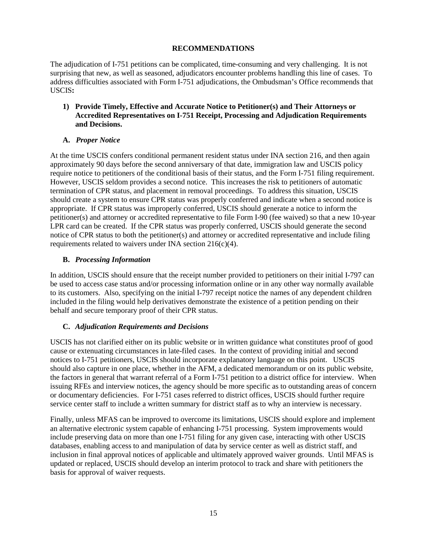# **RECOMMENDATIONS**

The adjudication of I-751 petitions can be complicated, time-consuming and very challenging. It is not surprising that new, as well as seasoned, adjudicators encounter problems handling this line of cases. To address difficulties associated with Form I-751 adjudications, the Ombudsman's Office recommends that USCIS**:**

# **1) Provide Timely, Effective and Accurate Notice to Petitioner(s) and Their Attorneys or Accredited Representatives on I-751 Receipt, Processing and Adjudication Requirements and Decisions.**

# **A.** *Proper Notice*

At the time USCIS confers conditional permanent resident status under INA section 216, and then again approximately 90 days before the second anniversary of that date, immigration law and USCIS policy require notice to petitioners of the conditional basis of their status, and the Form I-751 filing requirement. However, USCIS seldom provides a second notice. This increases the risk to petitioners of automatic termination of CPR status, and placement in removal proceedings. To address this situation, USCIS should create a system to ensure CPR status was properly conferred and indicate when a second notice is appropriate. If CPR status was improperly conferred, USCIS should generate a notice to inform the petitioner(s) and attorney or accredited representative to file Form I-90 (fee waived) so that a new 10-year LPR card can be created. If the CPR status was properly conferred, USCIS should generate the second notice of CPR status to both the petitioner(s) and attorney or accredited representative and include filing requirements related to waivers under INA section  $216(c)(4)$ .

# **B.** *Processing Information*

In addition, USCIS should ensure that the receipt number provided to petitioners on their initial I-797 can be used to access case status and/or processing information online or in any other way normally available to its customers. Also, specifying on the initial I-797 receipt notice the names of any dependent children included in the filing would help derivatives demonstrate the existence of a petition pending on their behalf and secure temporary proof of their CPR status.

# **C.** *Adjudication Requirements and Decisions*

USCIS has not clarified either on its public website or in written guidance what constitutes proof of good cause or extenuating circumstances in late-filed cases. In the context of providing initial and second notices to I-751 petitioners, USCIS should incorporate explanatory language on this point. USCIS should also capture in one place, whether in the AFM, a dedicated memorandum or on its public website, the factors in general that warrant referral of a Form I-751 petition to a district office for interview. When issuing RFEs and interview notices, the agency should be more specific as to outstanding areas of concern or documentary deficiencies. For I-751 cases referred to district offices, USCIS should further require service center staff to include a written summary for district staff as to why an interview is necessary.

Finally, unless MFAS can be improved to overcome its limitations, USCIS should explore and implement an alternative electronic system capable of enhancing I-751 processing. System improvements would include preserving data on more than one I-751 filing for any given case, interacting with other USCIS databases, enabling access to and manipulation of data by service center as well as district staff, and inclusion in final approval notices of applicable and ultimately approved waiver grounds. Until MFAS is updated or replaced, USCIS should develop an interim protocol to track and share with petitioners the basis for approval of waiver requests.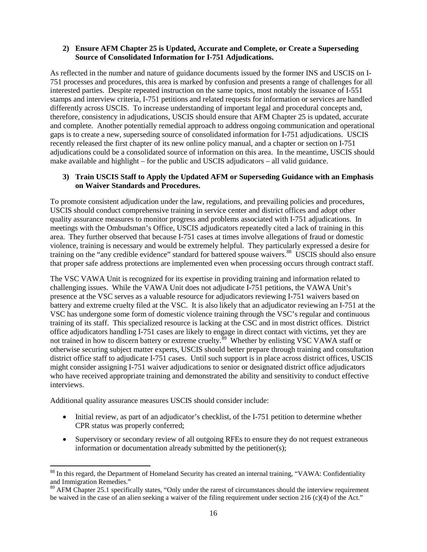## **2) Ensure AFM Chapter 25 is Updated, Accurate and Complete, or Create a Superseding Source of Consolidated Information for I-751 Adjudications.**

As reflected in the number and nature of guidance documents issued by the former INS and USCIS on I-751 processes and procedures, this area is marked by confusion and presents a range of challenges for all interested parties. Despite repeated instruction on the same topics, most notably the issuance of I-551 stamps and interview criteria, I-751 petitions and related requests for information or services are handled differently across USCIS. To increase understanding of important legal and procedural concepts and, therefore, consistency in adjudications, USCIS should ensure that AFM Chapter 25 is updated, accurate and complete. Another potentially remedial approach to address ongoing communication and operational gaps is to create a new, superseding source of consolidated information for I-751 adjudications. USCIS recently released the first chapter of its new online policy manual, and a chapter or section on I-751 adjudications could be a consolidated source of information on this area. In the meantime, USCIS should make available and highlight – for the public and USCIS adjudicators – all valid guidance.

# **3) Train USCIS Staff to Apply the Updated AFM or Superseding Guidance with an Emphasis on Waiver Standards and Procedures.**

To promote consistent adjudication under the law, regulations, and prevailing policies and procedures, USCIS should conduct comprehensive training in service center and district offices and adopt other quality assurance measures to monitor progress and problems associated with I-751 adjudications. In meetings with the Ombudsman's Office, USCIS adjudicators repeatedly cited a lack of training in this area. They further observed that because I-751 cases at times involve allegations of fraud or domestic violence, training is necessary and would be extremely helpful. They particularly expressed a desire for training on the "any credible evidence" standard for battered spouse waivers.<sup>[88](#page-16-0)</sup> USCIS should also ensure that proper safe address protections are implemented even when processing occurs through contract staff.

The VSC VAWA Unit is recognized for its expertise in providing training and information related to challenging issues. While the VAWA Unit does not adjudicate I-751 petitions, the VAWA Unit's presence at the VSC serves as a valuable resource for adjudicators reviewing I-751 waivers based on battery and extreme cruelty filed at the VSC. It is also likely that an adjudicator reviewing an I-751 at the VSC has undergone some form of domestic violence training through the VSC's regular and continuous training of its staff. This specialized resource is lacking at the CSC and in most district offices. District office adjudicators handling I-751 cases are likely to engage in direct contact with victims, yet they are not trained in how to discern battery or extreme cruelty.<sup>[89](#page-16-1)</sup> Whether by enlisting VSC VAWA staff or otherwise securing subject matter experts, USCIS should better prepare through training and consultation district office staff to adjudicate I-751 cases. Until such support is in place across district offices, USCIS might consider assigning I-751 waiver adjudications to senior or designated district office adjudicators who have received appropriate training and demonstrated the ability and sensitivity to conduct effective interviews.

Additional quality assurance measures USCIS should consider include:

- Initial review, as part of an adjudicator's checklist, of the I-751 petition to determine whether CPR status was properly conferred;
- Supervisory or secondary review of all outgoing RFEs to ensure they do not request extraneous information or documentation already submitted by the petitioner(s);

<span id="page-16-0"></span><sup>&</sup>lt;sup>88</sup> In this regard, the Department of Homeland Security has created an internal training, "VAWA: Confidentiality and Immigration Remedies."<br><sup>89</sup> AFM Chapter 25.1 specifically states, "Only under the rarest of circumstances should the interview requirement

<span id="page-16-1"></span>be waived in the case of an alien seeking a waiver of the filing requirement under section 216 (c)(4) of the Act."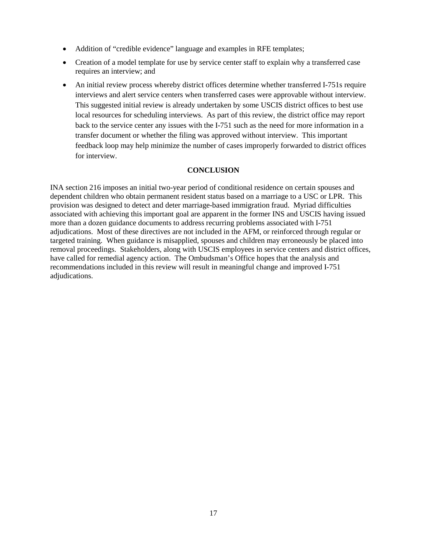- Addition of "credible evidence" language and examples in RFE templates;
- Creation of a model template for use by service center staff to explain why a transferred case requires an interview; and
- An initial review process whereby district offices determine whether transferred I-751s require interviews and alert service centers when transferred cases were approvable without interview. This suggested initial review is already undertaken by some USCIS district offices to best use local resources for scheduling interviews. As part of this review, the district office may report back to the service center any issues with the I-751 such as the need for more information in a transfer document or whether the filing was approved without interview. This important feedback loop may help minimize the number of cases improperly forwarded to district offices for interview.

# **CONCLUSION**

INA section 216 imposes an initial two-year period of conditional residence on certain spouses and dependent children who obtain permanent resident status based on a marriage to a USC or LPR. This provision was designed to detect and deter marriage-based immigration fraud. Myriad difficulties associated with achieving this important goal are apparent in the former INS and USCIS having issued more than a dozen guidance documents to address recurring problems associated with I-751 adjudications. Most of these directives are not included in the AFM, or reinforced through regular or targeted training. When guidance is misapplied, spouses and children may erroneously be placed into removal proceedings. Stakeholders, along with USCIS employees in service centers and district offices, have called for remedial agency action. The Ombudsman's Office hopes that the analysis and recommendations included in this review will result in meaningful change and improved I-751 adjudications.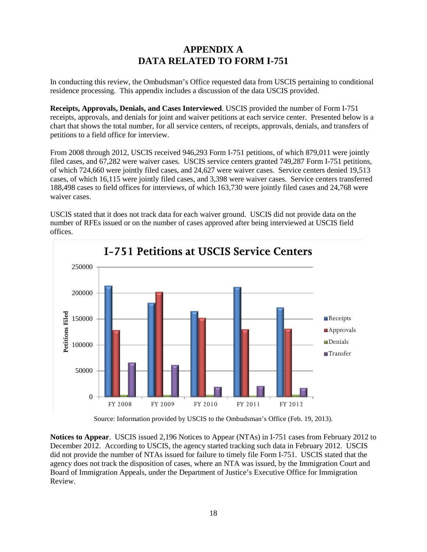# **APPENDIX A DATA RELATED TO FORM I-751**

In conducting this review, the Ombudsman's Office requested data from USCIS pertaining to conditional residence processing. This appendix includes a discussion of the data USCIS provided.

**Receipts, Approvals, Denials, and Cases Interviewed**. USCIS provided the number of Form I-751 receipts, approvals, and denials for joint and waiver petitions at each service center. Presented below is a chart that shows the total number, for all service centers, of receipts, approvals, denials, and transfers of petitions to a field office for interview.

From 2008 through 2012, USCIS received 946,293 Form I-751 petitions, of which 879,011 were jointly filed cases, and 67,282 were waiver cases. USCIS service centers granted 749,287 Form I-751 petitions, of which 724,660 were jointly filed cases, and 24,627 were waiver cases. Service centers denied 19,513 cases, of which 16,115 were jointly filed cases, and 3,398 were waiver cases. Service centers transferred 188,498 cases to field offices for interviews, of which 163,730 were jointly filed cases and 24,768 were waiver cases.

USCIS stated that it does not track data for each waiver ground. USCIS did not provide data on the number of RFEs issued or on the number of cases approved after being interviewed at USCIS field offices.



Source: Information provided by USCIS to the Ombudsman's Office (Feb. 19, 2013).

**Notices to Appear**. USCIS issued 2,196 Notices to Appear (NTAs) in I-751 cases from February 2012 to December 2012. According to USCIS, the agency started tracking such data in February 2012. USCIS did not provide the number of NTAs issued for failure to timely file Form I-751. USCIS stated that the agency does not track the disposition of cases, where an NTA was issued, by the Immigration Court and Board of Immigration Appeals, under the Department of Justice's Executive Office for Immigration Review.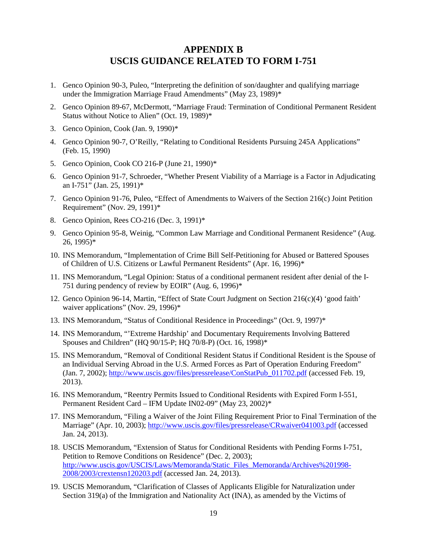# **APPENDIX B USCIS GUIDANCE RELATED TO FORM I-751**

- 1. Genco Opinion 90-3, Puleo, "Interpreting the definition of son/daughter and qualifying marriage under the Immigration Marriage Fraud Amendments" (May 23, 1989)\*
- 2. Genco Opinion 89-67, McDermott, "Marriage Fraud: Termination of Conditional Permanent Resident Status without Notice to Alien" (Oct. 19, 1989)\*
- 3. Genco Opinion, Cook (Jan. 9, 1990)\*
- 4. Genco Opinion 90-7, O'Reilly, "Relating to Conditional Residents Pursuing 245A Applications" (Feb. 15, 1990)
- 5. Genco Opinion, Cook CO 216-P (June 21, 1990)\*
- 6. Genco Opinion 91-7, Schroeder, "Whether Present Viability of a Marriage is a Factor in Adjudicating an I-751" (Jan. 25, 1991)\*
- 7. Genco Opinion 91-76, Puleo, "Effect of Amendments to Waivers of the Section 216(c) Joint Petition Requirement" (Nov. 29, 1991)\*
- 8. Genco Opinion, Rees CO-216 (Dec. 3, 1991)\*
- 9. Genco Opinion 95-8, Weinig, "Common Law Marriage and Conditional Permanent Residence" (Aug. 26, 1995)\*
- 10. INS Memorandum, "Implementation of Crime Bill Self-Petitioning for Abused or Battered Spouses of Children of U.S. Citizens or Lawful Permanent Residents" (Apr. 16, 1996)\*
- 11. INS Memorandum, "Legal Opinion: Status of a conditional permanent resident after denial of the I-751 during pendency of review by EOIR" (Aug. 6, 1996)\*
- 12. Genco Opinion 96-14, Martin, "Effect of State Court Judgment on Section 216(c)(4) 'good faith' waiver applications" (Nov. 29, 1996)\*
- 13. INS Memorandum, "Status of Conditional Residence in Proceedings" (Oct. 9, 1997)\*
- 14. INS Memorandum, "'Extreme Hardship' and Documentary Requirements Involving Battered Spouses and Children" (HQ 90/15-P; HQ 70/8-P) (Oct. 16, 1998)\*
- 15. INS Memorandum, "Removal of Conditional Resident Status if Conditional Resident is the Spouse of an Individual Serving Abroad in the U.S. Armed Forces as Part of Operation Enduring Freedom" (Jan. 7, 2002); [http://www.uscis.gov/files/pressrelease/ConStatPub\\_011702.pdf](http://www.uscis.gov/files/pressrelease/ConStatPub_011702.pdf) (accessed Feb. 19, 2013).
- 16. INS Memorandum, "Reentry Permits Issued to Conditional Residents with Expired Form I-551, Permanent Resident Card – IFM Update IN02-09" (May 23, 2002)\*
- 17. INS Memorandum, "Filing a Waiver of the Joint Filing Requirement Prior to Final Termination of the Marriage" (Apr. 10, 2003);<http://www.uscis.gov/files/pressrelease/CRwaiver041003.pdf> (accessed Jan. 24, 2013).
- 18. USCIS Memorandum, "Extension of Status for Conditional Residents with Pending Forms I-751, Petition to Remove Conditions on Residence" (Dec. 2, 2003); [http://www.uscis.gov/USCIS/Laws/Memoranda/Static\\_Files\\_Memoranda/Archives%201998-](http://www.uscis.gov/USCIS/Laws/Memoranda/Static_Files_Memoranda/Archives%201998-2008/2003/crextensn120203.pdf) [2008/2003/crextensn120203.pdf](http://www.uscis.gov/USCIS/Laws/Memoranda/Static_Files_Memoranda/Archives%201998-2008/2003/crextensn120203.pdf) (accessed Jan. 24, 2013).
- 19. USCIS Memorandum, "Clarification of Classes of Applicants Eligible for Naturalization under Section 319(a) of the Immigration and Nationality Act (INA), as amended by the Victims of